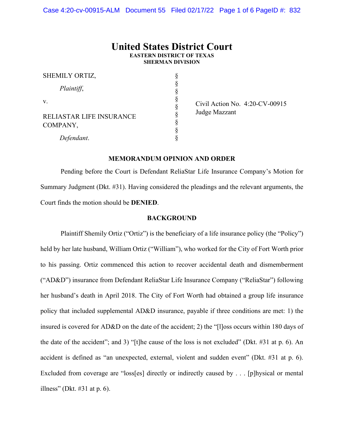# **United States District Court EASTERN DISTRICT OF TEXAS SHERMAN DIVISION**

§ § § § § § § § §

| SHEMILY ORTIZ,                       |  |
|--------------------------------------|--|
| Plaintiff,                           |  |
| V.                                   |  |
| RELIASTAR LIFE INSURANCE<br>COMPANY, |  |
| Defendant.                           |  |

 Civil Action No. 4:20-CV-00915 Judge Mazzant

## **MEMORANDUM OPINION AND ORDER**

Pending before the Court is Defendant ReliaStar Life Insurance Company's Motion for Summary Judgment (Dkt. #31). Having considered the pleadings and the relevant arguments, the Court finds the motion should be **DENIED**.

#### **BACKGROUND**

Plaintiff Shemily Ortiz ("Ortiz") is the beneficiary of a life insurance policy (the "Policy") held by her late husband, William Ortiz ("William"), who worked for the City of Fort Worth prior to his passing. Ortiz commenced this action to recover accidental death and dismemberment ("AD&D") insurance from Defendant ReliaStar Life Insurance Company ("ReliaStar") following her husband's death in April 2018. The City of Fort Worth had obtained a group life insurance policy that included supplemental AD&D insurance, payable if three conditions are met: 1) the insured is covered for AD&D on the date of the accident; 2) the "[l]oss occurs within 180 days of the date of the accident"; and 3) "[t]he cause of the loss is not excluded" (Dkt. #31 at p. 6). An accident is defined as "an unexpected, external, violent and sudden event" (Dkt. #31 at p. 6). Excluded from coverage are "loss[es] directly or indirectly caused by . . . [p]hysical or mental illness" (Dkt.  $\#31$  at p. 6).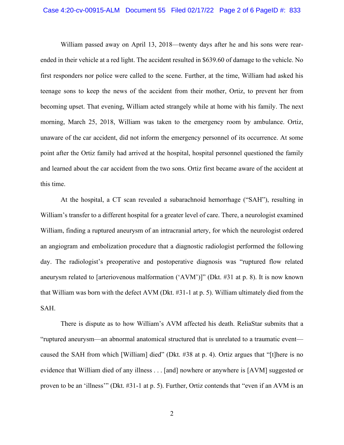#### Case 4:20-cv-00915-ALM Document 55 Filed 02/17/22 Page 2 of 6 PageID #: 833

William passed away on April 13, 2018—twenty days after he and his sons were rearended in their vehicle at a red light. The accident resulted in \$639.60 of damage to the vehicle. No first responders nor police were called to the scene. Further, at the time, William had asked his teenage sons to keep the news of the accident from their mother, Ortiz, to prevent her from becoming upset. That evening, William acted strangely while at home with his family. The next morning, March 25, 2018, William was taken to the emergency room by ambulance. Ortiz, unaware of the car accident, did not inform the emergency personnel of its occurrence. At some point after the Ortiz family had arrived at the hospital, hospital personnel questioned the family and learned about the car accident from the two sons. Ortiz first became aware of the accident at this time.

At the hospital, a CT scan revealed a subarachnoid hemorrhage ("SAH"), resulting in William's transfer to a different hospital for a greater level of care. There, a neurologist examined William, finding a ruptured aneurysm of an intracranial artery, for which the neurologist ordered an angiogram and embolization procedure that a diagnostic radiologist performed the following day. The radiologist's preoperative and postoperative diagnosis was "ruptured flow related aneurysm related to [arteriovenous malformation ('AVM')]" (Dkt. #31 at p. 8). It is now known that William was born with the defect AVM (Dkt. #31-1 at p. 5). William ultimately died from the SAH.

There is dispute as to how William's AVM affected his death. ReliaStar submits that a "ruptured aneurysm—an abnormal anatomical structured that is unrelated to a traumatic event caused the SAH from which [William] died" (Dkt. #38 at p. 4). Ortiz argues that "[t]here is no evidence that William died of any illness . . . [and] nowhere or anywhere is [AVM] suggested or proven to be an 'illness'" (Dkt. #31-1 at p. 5). Further, Ortiz contends that "even if an AVM is an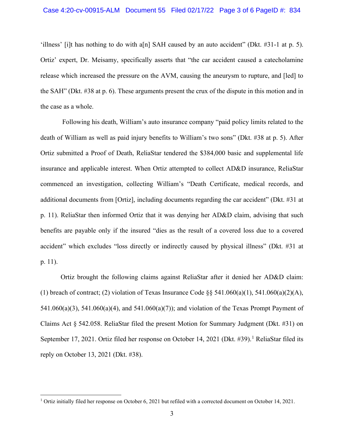'illness' [i]t has nothing to do with a[n] SAH caused by an auto accident" (Dkt. #31-1 at p. 5). Ortiz' expert, Dr. Meisamy, specifically asserts that "the car accident caused a catecholamine release which increased the pressure on the AVM, causing the aneurysm to rupture, and [led] to the SAH" (Dkt. #38 at p. 6). These arguments present the crux of the dispute in this motion and in the case as a whole.

Following his death, William's auto insurance company "paid policy limits related to the death of William as well as paid injury benefits to William's two sons" (Dkt. #38 at p. 5). After Ortiz submitted a Proof of Death, ReliaStar tendered the \$384,000 basic and supplemental life insurance and applicable interest. When Ortiz attempted to collect AD&D insurance, ReliaStar commenced an investigation, collecting William's "Death Certificate, medical records, and additional documents from [Ortiz], including documents regarding the car accident" (Dkt. #31 at p. 11). ReliaStar then informed Ortiz that it was denying her AD&D claim, advising that such benefits are payable only if the insured "dies as the result of a covered loss due to a covered accident" which excludes "loss directly or indirectly caused by physical illness" (Dkt. #31 at p. 11).

Ortiz brought the following claims against ReliaStar after it denied her AD&D claim: (1) breach of contract; (2) violation of Texas Insurance Code  $\S$ § 541.060(a)(1), 541.060(a)(2)(A), 541.060(a)(3), 541.060(a)(4), and 541.060(a)(7)); and violation of the Texas Prompt Payment of Claims Act § 542.058. ReliaStar filed the present Motion for Summary Judgment (Dkt. #31) on September [1](#page-2-0)7, 2021. Ortiz filed her response on October 14, 2021 (Dkt. #39).<sup>1</sup> ReliaStar filed its reply on October 13, 2021 (Dkt. #38).

<span id="page-2-0"></span><sup>&</sup>lt;sup>1</sup> Ortiz initially filed her response on October 6, 2021 but refiled with a corrected document on October 14, 2021.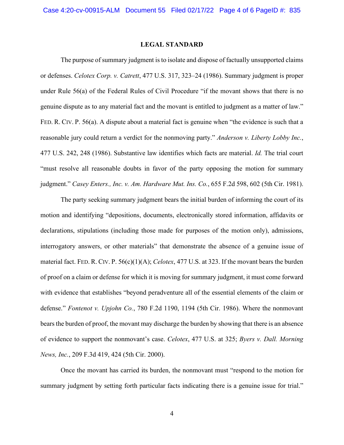## **LEGAL STANDARD**

The purpose of summary judgment is to isolate and dispose of factually unsupported claims or defenses. *Celotex Corp. v. Catrett*, 477 U.S. 317, 323–24 (1986). Summary judgment is proper under Rule 56(a) of the Federal Rules of Civil Procedure "if the movant shows that there is no genuine dispute as to any material fact and the movant is entitled to judgment as a matter of law." FED. R. CIV. P. 56(a). A dispute about a material fact is genuine when "the evidence is such that a reasonable jury could return a verdict for the nonmoving party." *Anderson v. Liberty Lobby Inc.*, 477 U.S. 242, 248 (1986). Substantive law identifies which facts are material. *Id.* The trial court "must resolve all reasonable doubts in favor of the party opposing the motion for summary judgment." *Casey Enters., Inc. v. Am. Hardware Mut. Ins. Co.*, 655 F.2d 598, 602 (5th Cir. 1981).

The party seeking summary judgment bears the initial burden of informing the court of its motion and identifying "depositions, documents, electronically stored information, affidavits or declarations, stipulations (including those made for purposes of the motion only), admissions, interrogatory answers, or other materials" that demonstrate the absence of a genuine issue of material fact. FED. R. CIV. P. 56(c)(1)(A); *Celotex*, 477 U.S. at 323. If the movant bears the burden of proof on a claim or defense for which it is moving for summary judgment, it must come forward with evidence that establishes "beyond peradventure all of the essential elements of the claim or defense." *Fontenot v. Upjohn Co.*, 780 F.2d 1190, 1194 (5th Cir. 1986). Where the nonmovant bearsthe burden of proof, the movant may discharge the burden by showing that there is an absence of evidence to support the nonmovant's case. *Celotex*, 477 U.S. at 325; *Byers v. Dall. Morning News, Inc.*, 209 F.3d 419, 424 (5th Cir. 2000).

Once the movant has carried its burden, the nonmovant must "respond to the motion for summary judgment by setting forth particular facts indicating there is a genuine issue for trial."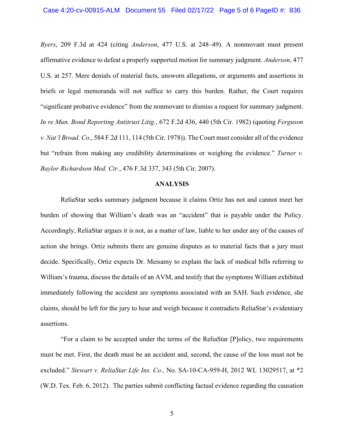*Byers*, 209 F.3d at 424 (citing *Anderson*, 477 U.S. at 248–49). A nonmovant must present affirmative evidence to defeat a properly supported motion for summary judgment. *Anderson*, 477 U.S. at 257. Mere denials of material facts, unsworn allegations, or arguments and assertions in briefs or legal memoranda will not suffice to carry this burden. Rather, the Court requires "significant probative evidence" from the nonmovant to dismiss a request for summary judgment. *In re Mun. Bond Reporting Antitrust Litig.*, 672 F.2d 436, 440 (5th Cir. 1982) (quoting *Ferguson v. Nat'l Broad. Co.*, 584 F.2d 111, 114 (5th Cir. 1978)). The Court must consider all of the evidence but "refrain from making any credibility determinations or weighing the evidence." *Turner v. Baylor Richardson Med. Ctr.*, 476 F.3d 337, 343 (5th Cir. 2007).

#### **ANALYSIS**

ReliaStar seeks summary judgment because it claims Ortiz has not and cannot meet her burden of showing that William's death was an "accident" that is payable under the Policy. Accordingly, ReliaStar argues it is not, as a matter of law, liable to her under any of the causes of action she brings. Ortiz submits there are genuine disputes as to material facts that a jury must decide. Specifically, Ortiz expects Dr. Meisamy to explain the lack of medical bills referring to William's trauma, discuss the details of an AVM, and testify that the symptoms William exhibited immediately following the accident are symptoms associated with an SAH. Such evidence, she claims, should be left for the jury to hear and weigh because it contradicts ReliaStar's evidentiary assertions.

"For a claim to be accepted under the terms of the ReliaStar [P]olicy, two requirements must be met. First, the death must be an accident and, second, the cause of the loss must not be excluded." *Stewart v. ReliaStar Life Ins. Co.*, No. SA-10-CA-959-H, 2012 WL 13029517, at \*2 (W.D. Tex. Feb. 6, 2012). The parties submit conflicting factual evidence regarding the causation